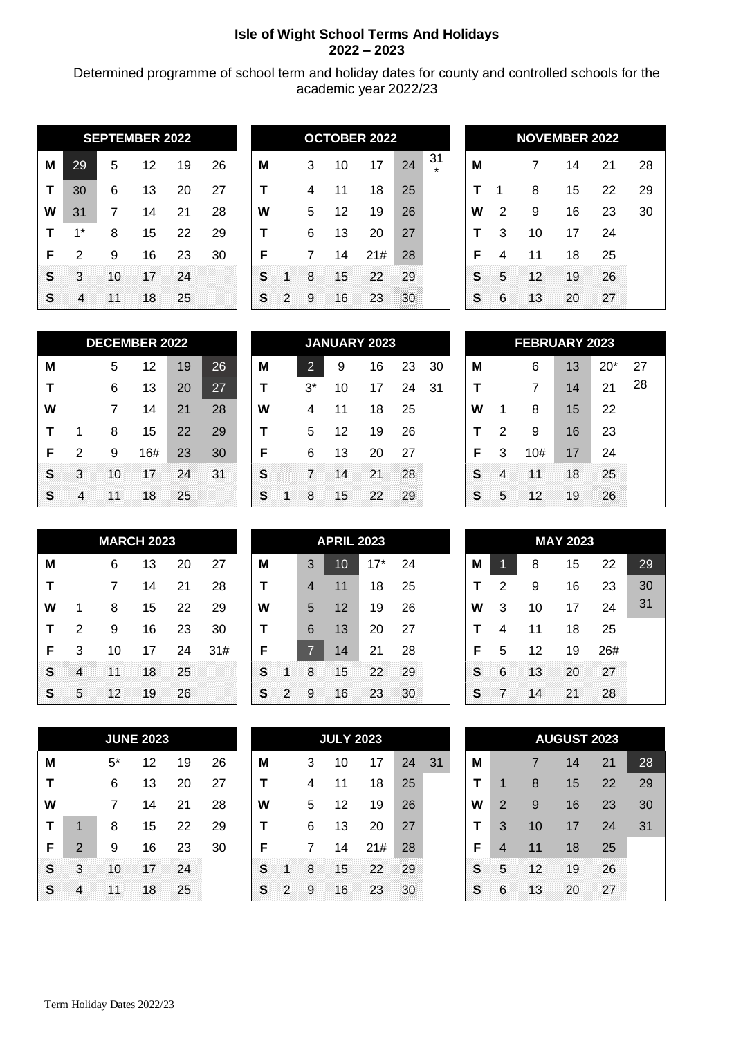## **Isle of Wight School Terms And Holidays 2022 – 2023**

Determined programme of school term and holiday dates for county and controlled schools for the academic year 2022/23

|   |       |    | <b>SEPTEMBER 2022</b> |    |    |   |   |   |    | <b>OCTOBER 2022</b> |    |               |   |   |    | <b>NOVEMBER 2022</b> |    |    |
|---|-------|----|-----------------------|----|----|---|---|---|----|---------------------|----|---------------|---|---|----|----------------------|----|----|
| м | 29    | 5  | 12                    | 19 | 26 | M |   | 3 | 10 | 17                  | 24 | 31<br>$\star$ | M |   | 7  | 14                   | 21 | 28 |
|   | 30    | 6  | 13                    | 20 | 27 |   |   | 4 | 11 | 18                  | 25 |               |   |   | 8  | 15                   | 22 | 29 |
| W | 31    |    | 14                    | 21 | 28 | W |   | 5 | 12 | 19                  | 26 |               | W | 2 | 9  | 16                   | 23 | 30 |
|   | $1^*$ | 8  | 15                    | 22 | 29 |   |   | 6 | 13 | 20                  | 27 |               |   | 3 | 10 | 17                   | 24 |    |
| F | າ     | 9  | 16                    | 23 | 30 | F |   |   | 14 | 21#                 | 28 |               | F |   | 11 | 18                   | 25 |    |
| S | з     | 10 | 17                    | 24 |    | S |   | 8 | 15 | 22                  | 29 |               | S | 5 | 12 | 19                   | 26 |    |
| B | 4     | XX | 18                    | 25 |    | S | 2 | я | 16 | 23                  | 20 |               | S | 6 | 13 | 20                   | 27 |    |

|   |      |    | <b>SEPTEMBER 2022</b> |    |    |   |   |   |    | <b>OCTOBER 2022</b> |    |               |   |   |    | <b>NOVEMBER 2022</b> |    |    |
|---|------|----|-----------------------|----|----|---|---|---|----|---------------------|----|---------------|---|---|----|----------------------|----|----|
| Μ | 29   | 5  | 12                    | 19 | 26 | M |   | 3 | 10 | 17                  | 24 | 31<br>$\star$ | M |   |    | 14                   | 21 | 28 |
| т | 30   | 6  | 13                    | 20 | 27 |   |   | 4 | 11 | 18                  | 25 |               |   |   | 8  | 15                   | 22 | 29 |
| W | 31   |    | 14                    | 21 | 28 | W |   | 5 | 12 | 19                  | 26 |               | W | 2 | 9  | 16                   | 23 | 30 |
| т | $1*$ | 8  | 15                    | 22 | 29 |   |   | 6 | 13 | 20                  | 27 |               |   | 3 | 10 | 17                   | 24 |    |
| F | 2    | 9  | 16                    | 23 | 30 | F |   | 7 | 14 | 21#                 | 28 |               | F |   | 11 | 18                   | 25 |    |
| S | X    | 10 | NT                    | 24 |    | S |   | 8 | 15 | 22                  | 29 |               | S | 5 | NZ | 19                   | 26 |    |
| S | ◢    | XX | 18                    | 25 |    | S | 2 | я | 16 | 23                  | 30 |               | S | 6 | N3 | 20                   | 27 |    |
|   |      |    |                       |    |    |   |   |   |    |                     |    |               |   |   |    |                      |    |    |

|   |   |    | <b>NOVEMBER 2022</b> |    |    |
|---|---|----|----------------------|----|----|
| М |   | 7  | 14                   | 21 | 28 |
| т | 1 | 8  | 15                   | 22 | 29 |
| W | 2 | 9  | 16                   | 23 | 30 |
| Т | 3 | 10 | 17                   | 24 |    |
| F | 4 | 11 | 18                   | 25 |    |
| S | 5 | 12 | 19                   | 26 |    |
| Š | 6 | 13 | 20                   |    |    |

|    |   |    | <b>DECEMBER 2022</b> |    |    |
|----|---|----|----------------------|----|----|
| М  |   | 5  | 12                   | 19 | 26 |
| т  |   | 6  | 13                   | 20 | 27 |
| W  |   | 7  | 14                   | 21 | 28 |
| т  | 1 | 8  | 15                   | 22 | 29 |
| F  | 2 | 9  | 16#                  | 23 | 30 |
| S  | З | 10 | VI                   | 24 | 31 |
| \$ |   |    | 18                   | 25 |    |

|   | <b>DECEMBER 2022</b><br>5<br>26<br>12<br>19<br>27<br>13<br>6<br>20<br>28<br>14<br>21<br>15<br>22<br>29<br>8<br>16#<br>30<br>23<br>2<br>9 |    |    |    |    |   |                 | <b>JANUARY 2023</b> |    |    |     |   | <b>FEBRUARY 2023</b> |     |    |       |    |
|---|------------------------------------------------------------------------------------------------------------------------------------------|----|----|----|----|---|-----------------|---------------------|----|----|-----|---|----------------------|-----|----|-------|----|
| M |                                                                                                                                          |    |    |    |    | M | 0<br>$\epsilon$ | 9                   | 16 | 23 | -30 | M |                      | 6   | 13 | $20*$ | 27 |
| т |                                                                                                                                          |    |    |    |    |   | $3^*$           | 10                  | 17 | 24 | 31  |   |                      |     | 14 | 21    | 28 |
| W |                                                                                                                                          |    |    |    |    | W | 4               |                     | 18 | 25 |     | W |                      | 8   | 15 | 22    |    |
| Τ |                                                                                                                                          |    |    |    |    |   | 5               | 12                  | 19 | 26 |     |   | າ                    | 9   | 16 | 23    |    |
| F |                                                                                                                                          |    |    |    |    | F | 6               | 13                  | 20 | 27 |     | F | 3                    | 10# | 17 | 24    |    |
| S | 3                                                                                                                                        | 10 | 17 | 24 | 31 | S |                 | l A                 | 21 | 28 |     | S |                      | 14  | 18 | 25    |    |
| S | 4                                                                                                                                        | K  | 18 | 25 |    | S | 8.              | 15                  | 22 | 29 |     | B | Б                    | 12  | 19 | 26    |    |

|   |                        | <b>FEBRUARY 2023</b> |    |    |    |  |  |  |  |  |  |  |  |  |  |
|---|------------------------|----------------------|----|----|----|--|--|--|--|--|--|--|--|--|--|
| М | $20*$<br>27<br>6<br>13 |                      |    |    |    |  |  |  |  |  |  |  |  |  |  |
| T |                        | 7                    | 14 | 21 | 28 |  |  |  |  |  |  |  |  |  |  |
| W | 1                      | 8                    | 15 | 22 |    |  |  |  |  |  |  |  |  |  |  |
| T | 2                      | 9                    | 16 | 23 |    |  |  |  |  |  |  |  |  |  |  |
| F | 3                      | 10#                  | 17 | 24 |    |  |  |  |  |  |  |  |  |  |  |
| s |                        |                      | 18 | 25 |    |  |  |  |  |  |  |  |  |  |  |
|   | 5                      | 12                   | Ιg |    |    |  |  |  |  |  |  |  |  |  |  |

|   |   |     | <b>MARCH 2023</b> |    |     |   |                | <b>APRIL 2023</b> |     |    |   |   |    | <b>MAY 2023</b> |     |    |
|---|---|-----|-------------------|----|-----|---|----------------|-------------------|-----|----|---|---|----|-----------------|-----|----|
| M |   | 6   | 13                | 20 | 27  | M | 3              | 10                | 17* | 24 | M |   | 8  | 15              | 22  | 29 |
|   |   | 7   | 14                | 21 | 28  |   | $\overline{4}$ | 11                | 18  | 25 |   | 2 | 9  | 16              | 23  | 30 |
| W |   | 8   | 15                | 22 | 29  | W | 5              | 12                | 19  | 26 | W | 3 | 10 | 17              | 24  | 31 |
|   | 2 | 9   | 16                | 23 | 30  |   | 6              | 13                | 20  | 27 |   | 4 | 11 | 18              | 25  |    |
| F | 3 | 10  | 17                | 24 | 31# | F | 7              | 14                | 21  | 28 | F | 5 | 12 | 19              | 26# |    |
| S |   | VX. | 18                | 25 |     | S | 8              | 15                | 22  | 29 | S | 6 | 13 | 20              | 27  |    |
| B | 5 | 12  | 19                | 26 |     | S | 9              | 16                | 23  | 30 | S |   | 14 | 21              | 28  |    |

|   |                |       | <b>JUNE 2023</b> |    |    |
|---|----------------|-------|------------------|----|----|
| М |                | $5^*$ | 12               | 19 | 26 |
| T |                | 6     | 13               | 20 | 27 |
| W |                | 7     | 14               | 21 | 28 |
| т | 1              | 8     | 15               | 22 | 29 |
| F | $\overline{2}$ | 9     | 16               | 23 | 30 |
| S | З              | 10    |                  | 24 |    |
|   |                |       | 18               | 25 |    |

|    | <b>MARCH 2023</b> |    |     |   |   |                      | <b>APRIL 2023</b> |       |    |   |    |    | <b>MAY 2023</b> |  |
|----|-------------------|----|-----|---|---|----------------------|-------------------|-------|----|---|----|----|-----------------|--|
| 6  | 13                | 20 | 27  | M |   | 3                    | 10                | $17*$ | 24 | M | 11 | 8  | 15              |  |
| 7  | 14                | 21 | 28  |   |   | $\overline{4}$       | 11                | 18    | 25 |   | 2  | 9  | 16              |  |
| 8  | 15                | 22 | 29  | W |   | 5                    | 12                | 19    | 26 | W | 3  | 10 | 17              |  |
| 9  | 16                | 23 | 30  |   |   | 6                    | 13                | 20    | 27 |   | 4  | 11 | 18              |  |
| 10 | 17                | 24 | 31# | F |   | $\blacktriangledown$ | 14                | 21    | 28 | F | 5  | 12 | 19              |  |
| XX | 18                | 25 |     | S |   | 8                    | 15                | 22    | 29 | S | 6  | 13 | 20              |  |
| 12 | 19                | 26 |     | S | 2 | 9                    | 16                | 23    | 30 | S |    | 14 | 21              |  |

|    |   |       | <b>JUNE 2023</b> |    |    |   |   |   | <b>JULY 2023</b> |     |    |    |   |                |    | <b>AUGUST 2023</b> |    |    |
|----|---|-------|------------------|----|----|---|---|---|------------------|-----|----|----|---|----------------|----|--------------------|----|----|
| M  |   | $5^*$ | 12               | 19 | 26 | M |   | 3 | 10               | 17  | 24 | 31 | M |                |    | 14                 | 21 | 28 |
| т  |   | 6     | 13               | 20 | 27 |   |   | 4 | 11               | 18  | 25 |    |   |                | 8  | 15                 | 22 | 29 |
| W  |   | 7     | 14               | 21 | 28 | W |   | 5 | 12               | 19  | 26 |    | W | $\overline{2}$ | 9  | 16                 | 23 | 30 |
| т  |   | 8     | 15               | 22 | 29 |   |   | 6 | 13               | 20  | 27 |    |   | 3              | 10 | 17                 | 24 | 31 |
| F  | 2 | 9     | 16               | 23 | 30 | F |   | 7 | 14               | 21# | 28 |    | F | 4              | 11 | 18                 | 25 |    |
| S  | X | 10    | xı               | 24 |    | S |   | 8 | 15               | 22  | 29 |    | S | Б              | 12 | 19                 | 26 |    |
| S. |   | VA.   | 18               | 25 |    | B | D | 9 | 16               | 23  | 30 |    | S | 6              | 13 | 20                 | 27 |    |
|    |   |       |                  |    |    |   |   |   |                  |     |    |    |   |                |    |                    |    |    |

|   |   |    | <b>MAY 2023</b> |     |    |
|---|---|----|-----------------|-----|----|
| Μ | 1 | 8  | 15              | 22  | 29 |
| Т | 2 | 9  | 16              | 23  | 30 |
| W | 3 | 10 | 17              | 24  | 31 |
| Т | 4 | 11 | 18              | 25  |    |
| F | 5 | 12 | 19              | 26# |    |
| S | 6 | 13 | 20              | 27  |    |
| S |   | ⊿  |                 | 28  |    |

|   |                     |    | <b>AUGUST 2023</b> |    |    |  |  |  |  |  |  |  |  |
|---|---------------------|----|--------------------|----|----|--|--|--|--|--|--|--|--|
| Μ | 21<br>28<br>14<br>7 |    |                    |    |    |  |  |  |  |  |  |  |  |
| T | 1                   | 8  | 15                 | 22 | 29 |  |  |  |  |  |  |  |  |
| W | $\overline{2}$      | 9  | 16                 | 23 | 30 |  |  |  |  |  |  |  |  |
| T | 3                   | 10 | 17                 | 24 | 31 |  |  |  |  |  |  |  |  |
| F | 4                   | 11 | 18                 | 25 |    |  |  |  |  |  |  |  |  |
| S | 5                   | 12 | 19                 | 26 |    |  |  |  |  |  |  |  |  |
| S | 6                   | 13 | w                  | z  |    |  |  |  |  |  |  |  |  |